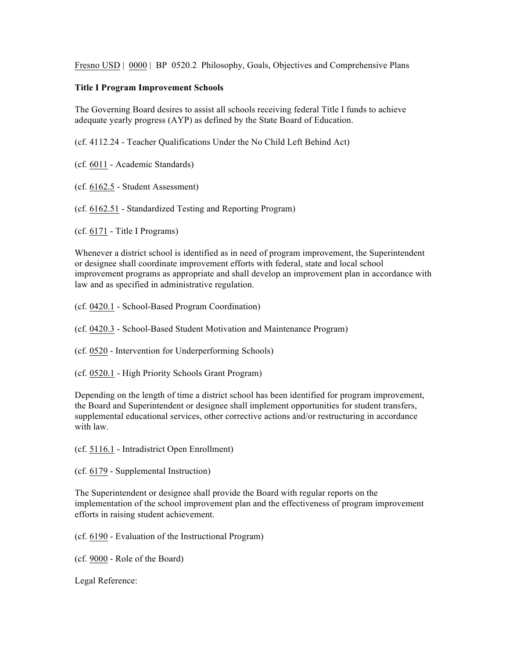Fresno USD | 0000 | BP 0520.2 Philosophy, Goals, Objectives and Comprehensive Plans

## **Title I Program Improvement Schools**

The Governing Board desires to assist all schools receiving federal Title I funds to achieve adequate yearly progress (AYP) as defined by the State Board of Education.

(cf. 4112.24 - Teacher Qualifications Under the No Child Left Behind Act)

- (cf. 6011 Academic Standards)
- (cf. 6162.5 Student Assessment)
- (cf. 6162.51 Standardized Testing and Reporting Program)

(cf. 6171 - Title I Programs)

Whenever a district school is identified as in need of program improvement, the Superintendent or designee shall coordinate improvement efforts with federal, state and local school improvement programs as appropriate and shall develop an improvement plan in accordance with law and as specified in administrative regulation.

- (cf. 0420.1 School-Based Program Coordination)
- (cf. 0420.3 School-Based Student Motivation and Maintenance Program)
- (cf. 0520 Intervention for Underperforming Schools)
- (cf. 0520.1 High Priority Schools Grant Program)

Depending on the length of time a district school has been identified for program improvement, the Board and Superintendent or designee shall implement opportunities for student transfers, supplemental educational services, other corrective actions and/or restructuring in accordance with law.

(cf. 5116.1 - Intradistrict Open Enrollment)

(cf. 6179 - Supplemental Instruction)

The Superintendent or designee shall provide the Board with regular reports on the implementation of the school improvement plan and the effectiveness of program improvement efforts in raising student achievement.

(cf. 6190 - Evaluation of the Instructional Program)

(cf. 9000 - Role of the Board)

Legal Reference: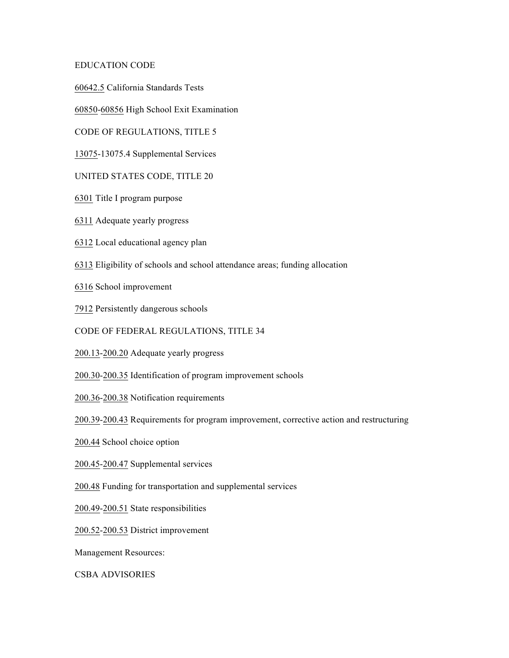## EDUCATION CODE

60642.5 California Standards Tests

60850-60856 High School Exit Examination

CODE OF REGULATIONS, TITLE 5

13075-13075.4 Supplemental Services

## UNITED STATES CODE, TITLE 20

- 6301 Title I program purpose
- 6311 Adequate yearly progress
- 6312 Local educational agency plan
- 6313 Eligibility of schools and school attendance areas; funding allocation

6316 School improvement

7912 Persistently dangerous schools

CODE OF FEDERAL REGULATIONS, TITLE 34

200.13-200.20 Adequate yearly progress

200.30-200.35 Identification of program improvement schools

200.36-200.38 Notification requirements

200.39-200.43 Requirements for program improvement, corrective action and restructuring

200.44 School choice option

200.45-200.47 Supplemental services

200.48 Funding for transportation and supplemental services

200.49-200.51 State responsibilities

200.52-200.53 District improvement

Management Resources:

CSBA ADVISORIES